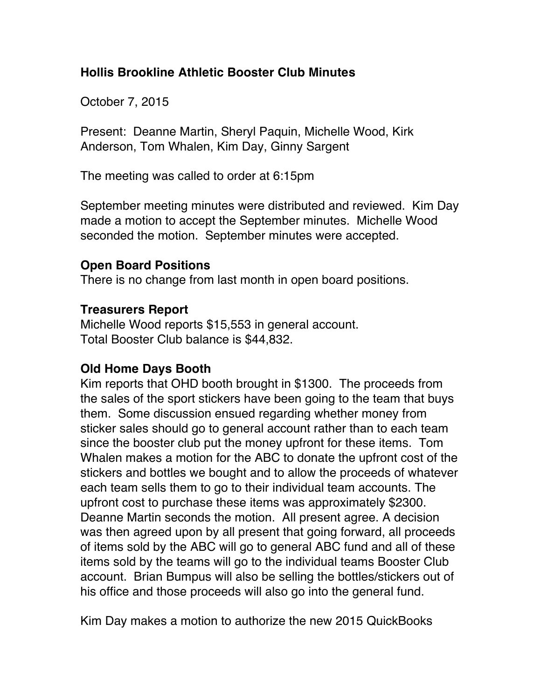# **Hollis Brookline Athletic Booster Club Minutes**

October 7, 2015

Present: Deanne Martin, Sheryl Paquin, Michelle Wood, Kirk Anderson, Tom Whalen, Kim Day, Ginny Sargent

The meeting was called to order at 6:15pm

September meeting minutes were distributed and reviewed. Kim Day made a motion to accept the September minutes. Michelle Wood seconded the motion. September minutes were accepted.

### **Open Board Positions**

There is no change from last month in open board positions.

# **Treasurers Report**

Michelle Wood reports \$15,553 in general account. Total Booster Club balance is \$44,832.

# **Old Home Days Booth**

Kim reports that OHD booth brought in \$1300. The proceeds from the sales of the sport stickers have been going to the team that buys them. Some discussion ensued regarding whether money from sticker sales should go to general account rather than to each team since the booster club put the money upfront for these items. Tom Whalen makes a motion for the ABC to donate the upfront cost of the stickers and bottles we bought and to allow the proceeds of whatever each team sells them to go to their individual team accounts. The upfront cost to purchase these items was approximately \$2300. Deanne Martin seconds the motion. All present agree. A decision was then agreed upon by all present that going forward, all proceeds of items sold by the ABC will go to general ABC fund and all of these items sold by the teams will go to the individual teams Booster Club account. Brian Bumpus will also be selling the bottles/stickers out of his office and those proceeds will also go into the general fund.

Kim Day makes a motion to authorize the new 2015 QuickBooks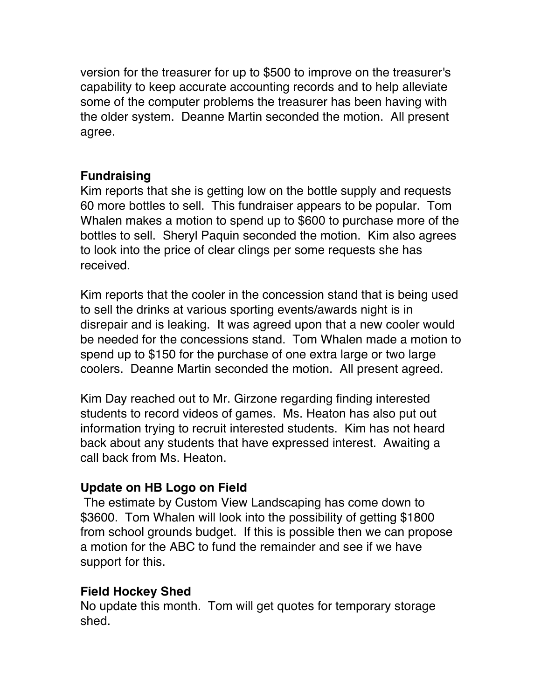version for the treasurer for up to \$500 to improve on the treasurer's capability to keep accurate accounting records and to help alleviate some of the computer problems the treasurer has been having with the older system. Deanne Martin seconded the motion. All present agree.

#### **Fundraising**

Kim reports that she is getting low on the bottle supply and requests 60 more bottles to sell. This fundraiser appears to be popular. Tom Whalen makes a motion to spend up to \$600 to purchase more of the bottles to sell. Sheryl Paquin seconded the motion. Kim also agrees to look into the price of clear clings per some requests she has received.

Kim reports that the cooler in the concession stand that is being used to sell the drinks at various sporting events/awards night is in disrepair and is leaking. It was agreed upon that a new cooler would be needed for the concessions stand. Tom Whalen made a motion to spend up to \$150 for the purchase of one extra large or two large coolers. Deanne Martin seconded the motion. All present agreed.

Kim Day reached out to Mr. Girzone regarding finding interested students to record videos of games. Ms. Heaton has also put out information trying to recruit interested students. Kim has not heard back about any students that have expressed interest. Awaiting a call back from Ms. Heaton.

# **Update on HB Logo on Field**

The estimate by Custom View Landscaping has come down to \$3600. Tom Whalen will look into the possibility of getting \$1800 from school grounds budget. If this is possible then we can propose a motion for the ABC to fund the remainder and see if we have support for this.

#### **Field Hockey Shed**

No update this month. Tom will get quotes for temporary storage shed.